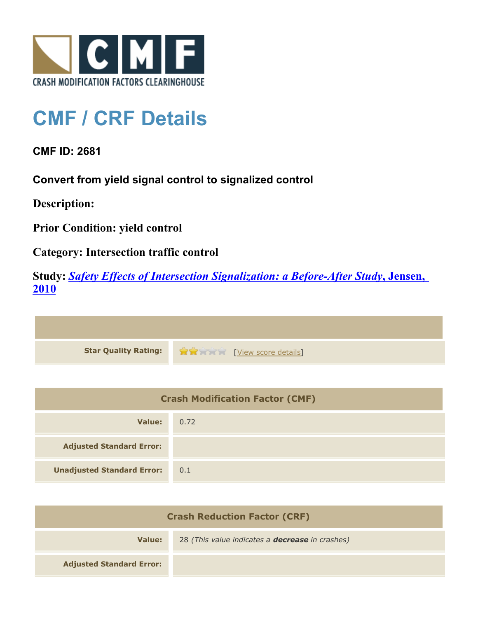

## **CMF / CRF Details**

**CMF ID: 2681**

**Convert from yield signal control to signalized control**

**Description:** 

**Prior Condition: yield control**

**Category: Intersection traffic control**

**Study:** *[Safety Effects of Intersection Signalization: a Before-After Study](http://www.cmfclearinghouse.org/study_detail.cfm?stid=170)***[, Jensen,](http://www.cmfclearinghouse.org/study_detail.cfm?stid=170) [2010](http://www.cmfclearinghouse.org/study_detail.cfm?stid=170)**



| <b>Crash Modification Factor (CMF)</b> |      |
|----------------------------------------|------|
| Value:                                 | 0.72 |
| <b>Adjusted Standard Error:</b>        |      |
| <b>Unadjusted Standard Error:</b>      | 0.1  |

| <b>Crash Reduction Factor (CRF)</b> |                                                        |
|-------------------------------------|--------------------------------------------------------|
| Value:                              | 28 (This value indicates a <b>decrease</b> in crashes) |
| <b>Adjusted Standard Error:</b>     |                                                        |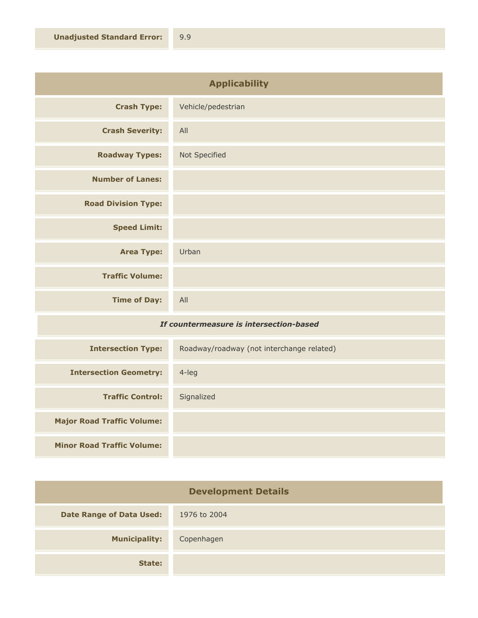| <b>Applicability</b>       |                    |
|----------------------------|--------------------|
| <b>Crash Type:</b>         | Vehicle/pedestrian |
| <b>Crash Severity:</b>     | All                |
| <b>Roadway Types:</b>      | Not Specified      |
| <b>Number of Lanes:</b>    |                    |
| <b>Road Division Type:</b> |                    |
| <b>Speed Limit:</b>        |                    |
| <b>Area Type:</b>          | Urban              |
| <b>Traffic Volume:</b>     |                    |
| <b>Time of Day:</b>        | All                |

## *If countermeasure is intersection-based*

| <b>Intersection Type:</b>         | Roadway/roadway (not interchange related) |
|-----------------------------------|-------------------------------------------|
| <b>Intersection Geometry:</b>     | $4$ -leg                                  |
| <b>Traffic Control:</b>           | Signalized                                |
| <b>Major Road Traffic Volume:</b> |                                           |
| <b>Minor Road Traffic Volume:</b> |                                           |

| <b>Development Details</b>      |              |
|---------------------------------|--------------|
| <b>Date Range of Data Used:</b> | 1976 to 2004 |
| <b>Municipality:</b>            | Copenhagen   |
| State:                          |              |